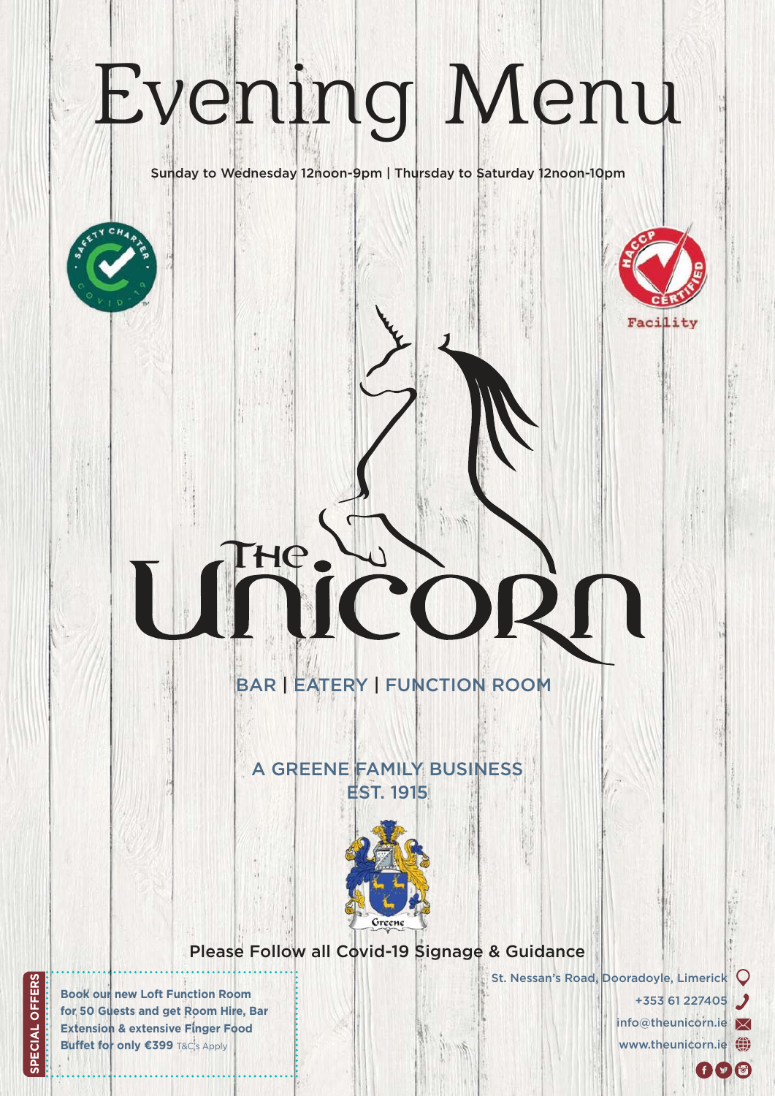# Evening Menu

Sunday to Wednesday 12noon-9pm | Thursday to Saturday 12noon-10pm



BAR | EATERY | FUNCTION ROOM

THE

### EST. 1915 A GREENE FAMILY BUSINESS



Please Follow all Covid-19 Signage & Guidance

St. Nessan's Road, Dooradoyle, Limerick

+353 61 227405 info@theunicorn.ie www.theunicorn.ie (1)

 $f(\mathbf{y}|\mathbf{G})$ 

Facility

**Book our new Loft Function Room for 50 Guests and get Room Hire, Bar Extension & extensive Finger Food Buffet for only €399 T&C's Apply**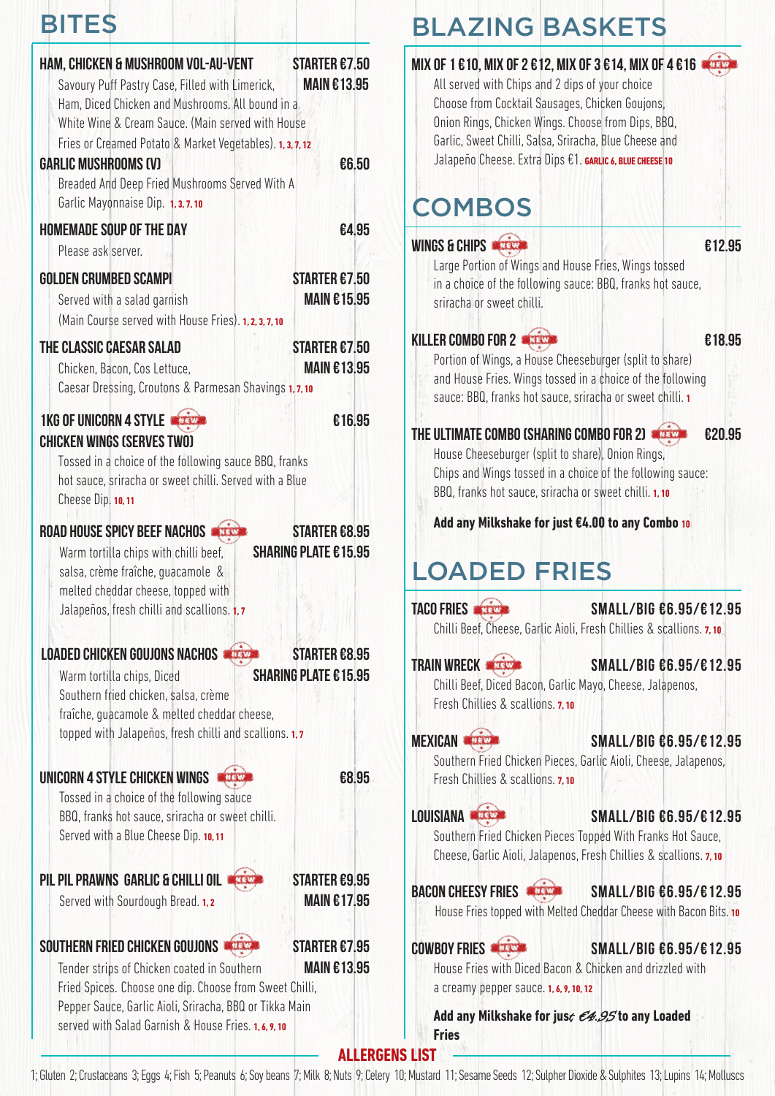# BITES

| <b>HAM, CHICKEN &amp; MUSHROOM VOL-AU-VENT</b>                                                         | <b>STARTER £7.50</b>        |
|--------------------------------------------------------------------------------------------------------|-----------------------------|
| Savoury Puff Pastry Case, Filled with Limerick,                                                        | <b>MAIN €13.95</b>          |
| Ham, Diced Chicken and Mushrooms. All bound in a<br>White Wine & Cream Sauce. (Main served with House  |                             |
| Fries or Creamed Potato & Market Vegetables). 1, 3, 7, 12                                              |                             |
| <b>GARLIC MUSHROOMS (V)</b>                                                                            | €6.50                       |
| Breaded And Deep Fried Mushrooms Served With A                                                         |                             |
| Garlic Mayonnaise Dip. 1, 3, 7, 10                                                                     |                             |
| <b>HOMEMADE SOUP OF THE DAY</b>                                                                        | €4.95                       |
| Please ask server.                                                                                     |                             |
| <b>GOLDEN CRUMBED SCAMPI</b>                                                                           | STARTER £7.50               |
| Served with a salad garnish                                                                            | <b>MAIN €15.95</b>          |
| (Main Course served with House Fries). 1, 2, 3, 7, 10                                                  |                             |
| THE CLASSIC CAESAR SALAD                                                                               | <b>STARTER €7.50</b>        |
| Chicken, Bacon, Cos Lettuce,                                                                           | <b>MAIN €13.95</b>          |
| Caesar Dressing, Croutons & Parmesan Shavings 1,7,10                                                   |                             |
| <b>1KG OF UNICORN 4 STYLE WITH 1</b>                                                                   | €16.95                      |
| <b>CHICKEN WINGS (SERVES TWO)</b>                                                                      |                             |
| Tossed in a choice of the following sauce BBQ, franks                                                  |                             |
| hot sauce, sriracha or sweet chilli. Served with a Blue<br>Cheese Dip. 10, 11                          |                             |
|                                                                                                        |                             |
| <b>ROAD HOUSE SPICY BEEF NACHOS</b>                                                                    | <b>STARTER £8.95</b>        |
| Warm tortilla chips with chilli beef,                                                                  | <b>SHARING PLATE €15.95</b> |
| salsa, crème fraîche, guacamole &<br>melted cheddar cheese, topped with                                |                             |
| Jalapeños, fresh chilli and scallions. 1,7                                                             |                             |
|                                                                                                        |                             |
| LOADED CHICKEN GOUJONS NACHOS<br>NEV                                                                   | <b>STARTER £8.95</b>        |
| Warm tortilla chips, Diced                                                                             | <b>SHARING PLATE £15.95</b> |
| Southern fried chicken, salsa, crème                                                                   |                             |
| fraîche, guacamole & melted cheddar cheese,                                                            |                             |
| topped with Jalapeños, fresh chilli and scallions. 1,7                                                 |                             |
| UNICORN 4 STYLE CHICKEN WINGS                                                                          | €8.95                       |
| Tossed in a choice of the following sauce                                                              |                             |
| BBQ, franks hot sauce, sriracha or sweet chilli.                                                       |                             |
| Served with a Blue Cheese Dip. 10, 11                                                                  |                             |
|                                                                                                        |                             |
| PIL PIL PRAWNS GARLIC & CHILLI OIL                                                                     | <b>STARTER £9.95</b>        |
| Served with Sourdough Bread. 1,2                                                                       | <b>MAIN €17.95</b>          |
|                                                                                                        |                             |
| SOUTHERN FRIED CHICKEN GOUJONS                                                                         | STARTER £7.95               |
| Tender strips of Chicken coated in Southern<br>Fried Spices. Choose one dip. Choose from Sweet Chilli, | <b>MAIN €13.95</b>          |
| Pepper Sauce, Garlic Aioli, Sriracha, BBQ or Tikka Main                                                |                             |
| served with Salad Garnish & House Fries. 1, 6, 9, 10                                                   |                             |

# BLAZING BASKETS

### **Mix of 1 €10, Mix of 2 €12, Mix of 3 €14, Mix of 4 €16**  All served with Chips and 2 dips of your choice Choose from Cocktail Sausages, Chicken Goujons, Onion Rings, Chicken Wings. Choose from Dips, BBQ, Garlic, Sweet Chilli, Salsa, Sriracha, Blue Cheese and Jalapeño Cheese. Extra Dips €1. **GARLIC 6, BLUE CHEESE 10 COMBOS WINGS & CHIPS**  $\overline{12.95}$ Large Portion of Wings and House Fries, Wings tossed in a choice of the following sauce: BBQ, franks hot sauce, sriracha or sweet chilli. **KILLER COMBO FOR 2 EXECUTE:** COMBO FOR 2 **6 FOR 2 6 FOR 5 FOR 495** Portion of Wings, a House Cheeseburger (split to share) and House Fries. Wings tossed in a choice of the following sauce: BBQ, franks hot sauce, sriracha or sweet chilli. **<sup>1</sup> The Ultimate Combo (Sharing combo for 2) €20.95** House Cheeseburger (split to share), Onion Rings, Chips and Wings tossed in a choice of the following sauce: BBQ, franks hot sauce, sriracha or sweet chilli. **1, 10 Add any Milkshake for just €4.00 to any Combo <sup>10</sup>** LOADED FRIES TACO FRIES SMALL/BIG €6.95/€12.95 Chilli Beef, Cheese, Garlic Aioli, Fresh Chillies & scallions. **7, 10 TRAIN WRECK SMALL/BIG €6.95/€12.95** Chilli Beef, Diced Bacon, Garlic Mayo, Cheese, Jalapenos, Fresh Chillies & scallions. **7, 10 MEXICAN SMALL/BIG €6.95/€12.95** Southern Fried Chicken Pieces, Garlic Aioli, Cheese, Jalapenos, Fresh Chillies & scallions. **7, 10** LOUISIANA **strate SMALL/BIG €6.95/€12.95** Southern Fried Chicken Pieces Topped With Franks Hot Sauce, Cheese, Garlic Aioli, Jalapenos, Fresh Chillies & scallions. **7, 10** BACON CHEESY FRIES **SMALL/BIG €6.95/€12.95** House Fries topped with Melted Cheddar Cheese with Bacon Bits. **<sup>10</sup> COWBOY FRIES SMALL/BIG €6.95/€12.95** House Fries with Diced Bacon & Chicken and drizzled with a creamy pepper sauce. **1, 6, 9, 10, 12 Add any Milkshake for jus**t €4.95 **to any Loaded**

**ALLERGENS LIST** 

**Fries**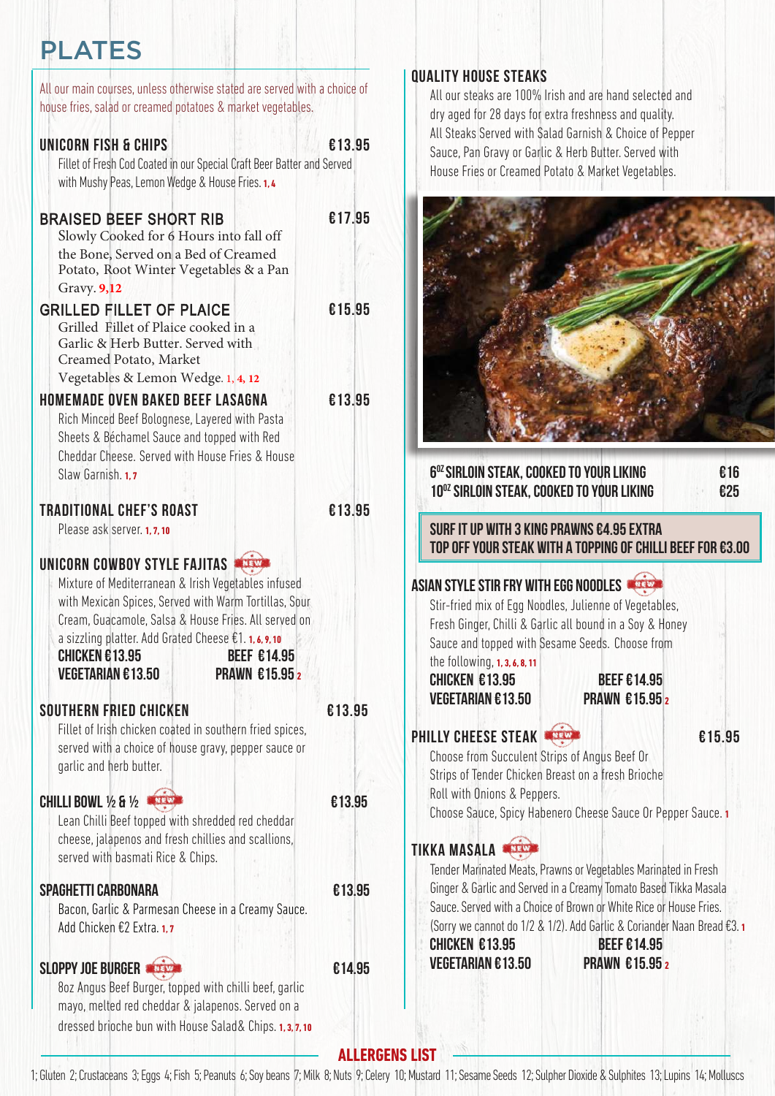### PLATES

| All our main courses, unless otherwise stated are served with a choice of<br>house fries, salad or creamed potatoes & market vegetables.                                                                                                                                                                                                                                 |        |
|--------------------------------------------------------------------------------------------------------------------------------------------------------------------------------------------------------------------------------------------------------------------------------------------------------------------------------------------------------------------------|--------|
| UNICORN FISH & CHIPS<br>Fillet of Fresh Cod Coated in our Special Craft Beer Batter and Served<br>with Mushy Peas, Lemon Wedge & House Fries. 1, 4                                                                                                                                                                                                                       | €13.95 |
| <b>BRAISED BEEF SHORT RIB</b><br>Slowly Cooked for 6 Hours into fall off<br>the Bone, Served on a Bed of Creamed<br>Potato, Root Winter Vegetables & a Pan<br>Gravy. 9,12                                                                                                                                                                                                | €17.95 |
| <b>GRILLED FILLET OF PLAICE</b><br>Grilled Fillet of Plaice cooked in a<br>Garlic & Herb Butter. Served with<br>Creamed Potato, Market<br>Vegetables & Lemon Wedge. 1, 4, 12                                                                                                                                                                                             | €15.95 |
| <b>HOMEMADE OVEN BAKED BEEF LASAGNA</b><br>Rich Minced Beef Bolognese, Layered with Pasta<br>Sheets & Béchamel Sauce and topped with Red<br>Cheddar Cheese. Served with House Fries & House<br>Slaw Garnish. 1.7                                                                                                                                                         | €13.95 |
| <b>TRADITIONAL CHEF'S ROAST</b><br>Please ask server. 1, 7, 10                                                                                                                                                                                                                                                                                                           | €13.95 |
| UNICORN COWBOY STYLE FAJITAS<br>NEW<br>Mixture of Mediterranean & Irish Vegetables infused<br>with Mexican Spices, Served with Warm Tortillas, Sour<br>Cream, Guacamole, Salsa & House Fries. All served on<br>a sizzling platter. Add Grated Cheese €1. 1, 6, 9, 10<br><b>CHICKEN €13.95</b><br><b>BEEF €14.95</b><br><b>VEGETARIAN €13.50</b><br><b>PRAWN €15.95 2</b> |        |
| <b>SOUTHERN FRIED CHICKEN</b><br>Fillet of Irish chicken coated in southern fried spices,<br>served with a choice of house gravy, pepper sauce or<br>garlic and herb butter.                                                                                                                                                                                             | €13.95 |
| <b>CHILLI BOWL 1/2 &amp; 1/2   </b><br>NEW<br>Lean Chilli Beef topped with shredded red cheddar<br>cheese, jalapenos and fresh chillies and scallions,<br>served with basmati Rice & Chips.                                                                                                                                                                              | €13.95 |
| SPAGHETTI CARBONARA<br>Bacon, Garlic & Parmesan Cheese in a Creamy Sauce.<br>Add Chicken €2 Extra. 1,7                                                                                                                                                                                                                                                                   | €13.95 |
| <b>SLOPPY JOE BURGER</b><br>8oz Angus Beef Burger, topped with chilli beef, garlic<br>mayo, melted red cheddar & jalapenos. Served on a<br>dressed brioche bun with House Salad& Chips. 1, 3, 7, 10                                                                                                                                                                      | €14.95 |

#### **Quality House Steaks**

All our steaks are 100% Irish and are hand selected and dry aged for 28 days for extra freshness and quality. All Steaks Served with Salad Garnish & Choice of Pepper Sauce, Pan Gravy or Garlic & Herb Butter. Served with House Fries or Creamed Potato & Market Vegetables.

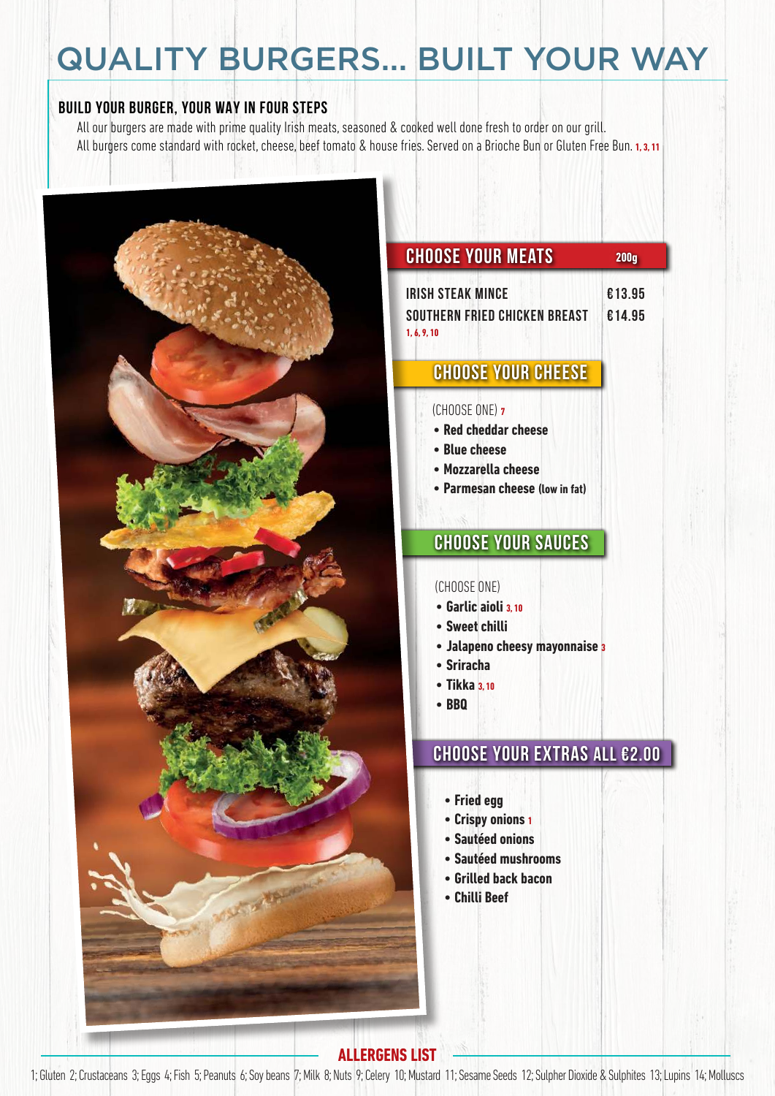# QUALITY BURGERS... BUILT YOUR WAY

#### **BUILD YOUR BURGER, YOUR WAY IN four STEPS**

All our burgers are made with prime quality Irish meats, seasoned & cooked well done fresh to order on our grill. All burgers come standard with rocket, cheese, beef tomato & house fries. Served on a Brioche Bun or Gluten Free Bun. **1, 3, 11**



### **Choose your meats 200g**

| IRISH STEAK MINCE             | €13.95 |
|-------------------------------|--------|
| SOUTHERN FRIED CHICKEN BREAST | €14.95 |
| 1.6.9.10                      |        |

### **Choose your cheese**

#### (CHOOSE ONE) **<sup>7</sup>**

- **Red cheddar cheese**
- **Blue cheese**
- **Mozzarella cheese**
- **Parmesan cheese (low in fat)**

### **Choose your Sauces**

#### (CHOOSE ONE)

- **Garlic aioli 3, 10**
- **Sweet chilli**
- **Jalapeno cheesy mayonnaise <sup>3</sup>**
- **Sriracha**
- **Tikka 3, 10**
- **BBQ**

### **Choose your extras all €2.00**

- **Fried egg**
- **Crispy onions <sup>1</sup>**
- **Sautéed onions**
- **Sautéed mushrooms**
- **Grilled back bacon**
- **Chilli Beef**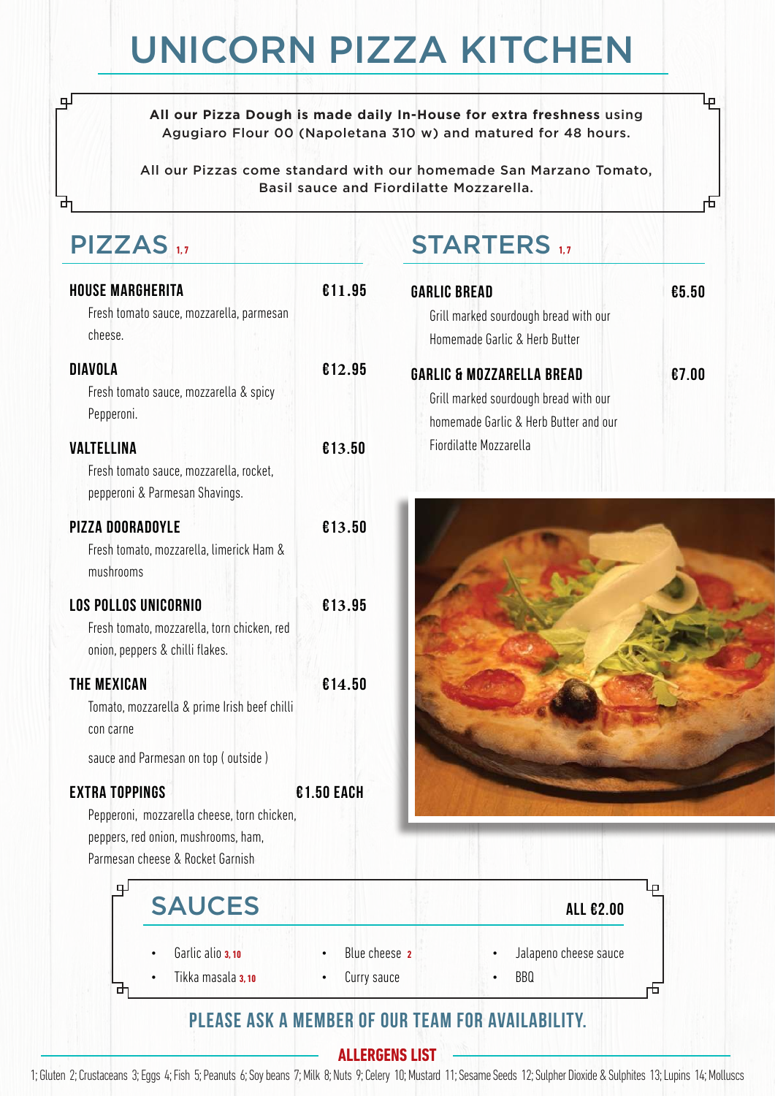# UNICORN PIZZA KITCHEN

**All our Pizza Dough is made daily In-House for extra freshness** using Agugiaro Flour 00 (Napoletana 310 w) and matured for 48 hours.

All our Pizzas come standard with our homemade San Marzano Tomato, Basil sauce and Fiordilatte Mozzarella.

### PIZZAS **1, 7**

பு

| <b>HOUSE MARGHERITA</b><br>Fresh tomato sauce, mozzarella, parmesan<br>cheese.                                         | €11.95     |
|------------------------------------------------------------------------------------------------------------------------|------------|
| <b>DIAVOLA</b><br>Fresh tomato sauce, mozzarella & spicy<br>Pepperoni.                                                 | €12.95     |
| <b>VALTELLINA</b><br>Fresh tomato sauce, mozzarella, rocket,<br>pepperoni & Parmesan Shavings.                         | €13.50     |
| <b>PIZZA DOORADOYLE</b><br>Fresh tomato, mozzarella, limerick Ham &<br>mushrooms                                       | €13.50     |
| <b>LOS POLLOS UNICORNIO</b><br>Fresh tomato, mozzarella, torn chicken, red<br>onion, peppers & chilli flakes.          | €13.95     |
| <b>THE MEXICAN</b><br>Tomato, mozzarella & prime Irish beef chilli<br>con carne                                        | €14.50     |
| sauce and Parmesan on top (outside)<br><b>EXTRA TOPPINGS</b>                                                           | €1.50 EACH |
| Pepperoni, mozzarella cheese, torn chicken,<br>peppers, red onion, mushrooms, ham,<br>Parmesan cheese & Rocket Garnish |            |

# STARTERS 1,7

| <b>GARLIC BREAD</b>                   | £5.50 |
|---------------------------------------|-------|
| Grill marked sourdough bread with our |       |
| Homemade Garlic & Herb Butter         |       |
| <b>GARLIC &amp; MOZZARELLA BREAD</b>  | €7.00 |
| Grill marked sourdough bread with our |       |
| homemade Garlic & Herb Butter and our |       |
| Fiordilatte Mozzarella                |       |

ŀբ

石